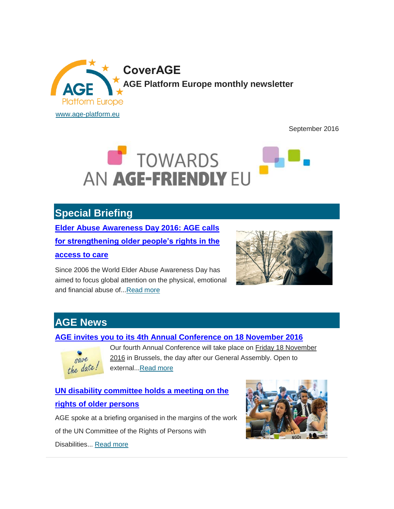

September 2016



# **Special Briefing**

**[Elder Abuse Awareness Day 2016: AGE calls](http://www.age-platform.eu/special-briefing/elder-abuse-awareness-day-2016-age-calls-strengthening-older-people%E2%80%99s-rights-access)  [for strengthening older people's rights in the](http://www.age-platform.eu/special-briefing/elder-abuse-awareness-day-2016-age-calls-strengthening-older-people%E2%80%99s-rights-access)  [access to care](http://www.age-platform.eu/special-briefing/elder-abuse-awareness-day-2016-age-calls-strengthening-older-people%E2%80%99s-rights-access)**

Since 2006 the World Elder Abuse Awareness Day has aimed to focus global attention on the physical, emotional and financial abuse of..[.Read more](http://www.age-platform.eu/special-briefing/elder-abuse-awareness-day-2016-age-calls-strengthening-older-people%E2%80%99s-rights-access)



## **AGE News**

#### **[AGE invites you to its 4th Annual Conference on 18 November 2016](http://www.age-platform.eu/age-news/age-invites-you-its-4th-annual-conference-18-november-2016)**



Our fourth Annual Conference will take place on Friday 18 November 2016 in Brussels, the day after our General Assembly. Open to external..[.Read more](http://www.age-platform.eu/age-news/age-invites-you-its-4th-annual-conference-18-november-2016)

**[UN disability committee holds a meeting on the](http://www.age-platform.eu/policy-work/news/un-disability-committee-holds-meeting-rights-older-persons)  [rights of older persons](http://www.age-platform.eu/policy-work/news/un-disability-committee-holds-meeting-rights-older-persons)**

AGE spoke at a briefing organised in the margins of the work of the UN Committee of the Rights of Persons with

Disabilities... [Read more](http://www.age-platform.eu/policy-work/news/un-disability-committee-holds-meeting-rights-older-persons)

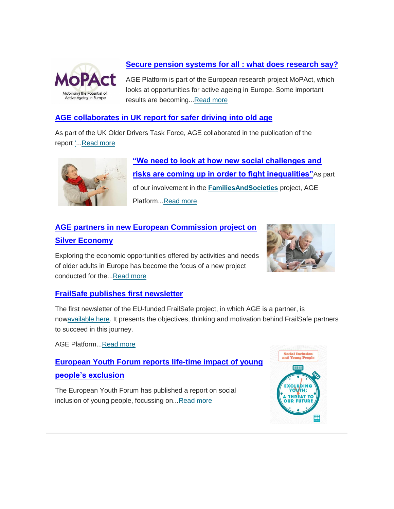

#### **[Secure pension systems for all](http://www.age-platform.eu/policy-work/news/secure-pension-systems-all%C2%A0-what-does-research-say) : what does research say?**

AGE Platform is part of the European research project MoPAct, which looks at opportunities for active ageing in Europe. Some important results are becoming..[.Read more](http://www.age-platform.eu/policy-work/news/secure-pension-systems-all%C2%A0-what-does-research-say)

#### **[AGE collaborates in UK report for safer driving into old age](http://www.age-platform.eu/policy-work/news/age-collaborates-uk-report-safer-driving-old-age)**

As part of the UK Older Drivers Task Force, AGE collaborated in the publication of the report ['.](http://www.roadsafetyfoundation.org/media/33073/modsfl-single-page-printable-version.pdf).[.Read more](http://www.age-platform.eu/policy-work/news/age-collaborates-uk-report-safer-driving-old-age)



**["We need to look at how new social challenges and](http://www.age-platform.eu/age-news/%E2%80%9Cwe-need-look-how-new-social-challenges-and-risks-are-coming-order-fight-inequalities%E2%80%9D)  [risks are coming up in order to fight inequalities"](http://www.age-platform.eu/age-news/%E2%80%9Cwe-need-look-how-new-social-challenges-and-risks-are-coming-order-fight-inequalities%E2%80%9D)**As part of our involvement in the **[FamiliesAndSocieties](http://www.familiesandsocieties.eu/)** project, AGE Platform..[.Read more](http://www.age-platform.eu/age-news/%E2%80%9Cwe-need-look-how-new-social-challenges-and-risks-are-coming-order-fight-inequalities%E2%80%9D)

## **[AGE partners in new European Commission project on](http://www.age-platform.eu/policy-work/news/age-partners-new-european-commission-project-silver-economy)  [Silver Economy](http://www.age-platform.eu/policy-work/news/age-partners-new-european-commission-project-silver-economy)**



Exploring the economic opportunities offered by activities and needs of older adults in Europe has become the focus of a new project conducted for the..[.Read more](http://www.age-platform.eu/policy-work/news/age-partners-new-european-commission-project-silver-economy)

#### **[FrailSafe publishes first newsletter](http://www.age-platform.eu/policy-work/news/frailsafe-publishes-first-newsletter)**

The first newsletter of the EU-funded FrailSafe project, in which AGE is a partner, is no[wavailable here.](http://frailsafe-project.eu/frailsafe-media) It presents the objectives, thinking and motivation behind FrailSafe partners to succeed in this journey.

AGE Platform..[.Read more](http://www.age-platform.eu/policy-work/news/frailsafe-publishes-first-newsletter)

**[European Youth Forum reports life-time impact of young](http://www.age-platform.eu/policy-work/news/european-youth-forum-reports-life-time-impact-young-people%E2%80%99s-exclusion)  [people's exclusion](http://www.age-platform.eu/policy-work/news/european-youth-forum-reports-life-time-impact-young-people%E2%80%99s-exclusion)**

The European Youth Forum has published a report on social inclusion of young people, focussing on... Read more

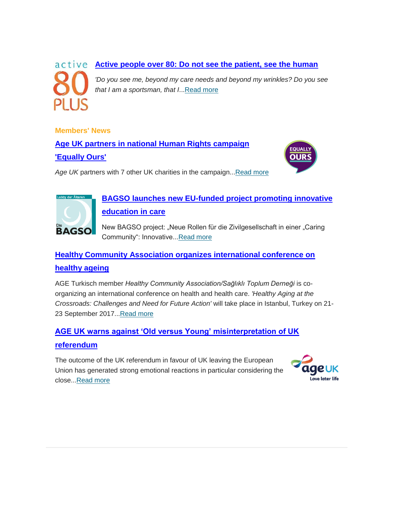# active **[Active people over 80: Do not see the patient, see the human](http://www.age-platform.eu/policy-work/news/active-people-over-80-do-not-see-patient-see-human)** *'Do you see me, beyond my care needs and beyond my wrinkles? Do you see that I am a sportsman, that I*..[.Read more](http://www.age-platform.eu/policy-work/news/active-people-over-80-do-not-see-patient-see-human)

**Members' News**

**[Age UK partners in national Human Rights campaign](http://www.age-platform.eu/age-member-news/age-uk-partners-national-human-rights-campaign-equally-ours)  ['Equally Ours'](http://www.age-platform.eu/age-member-news/age-uk-partners-national-human-rights-campaign-equally-ours)**



Age UK partners with 7 other UK charities in the campaign... Read more



### **[BAGSO launches new EU-funded project promoting innovative](http://www.age-platform.eu/age-member-news/bagso-launches-new-eu-funded-project-promoting-innovative-education-care)  [education in care](http://www.age-platform.eu/age-member-news/bagso-launches-new-eu-funded-project-promoting-innovative-education-care)**

New BAGSO project: "Neue Rollen für die Zivilgesellschaft in einer "Caring Community": Innovative..[.Read more](http://www.age-platform.eu/age-member-news/bagso-launches-new-eu-funded-project-promoting-innovative-education-care)

# **[Healthy Community Association organizes international conference on](http://www.age-platform.eu/age-member-news/healthy-community-association-organizes-international-conference-healthy-ageing)  [healthy ageing](http://www.age-platform.eu/age-member-news/healthy-community-association-organizes-international-conference-healthy-ageing)**

AGE Turkisch member *Healthy Community Association/Sağlıklı Toplum Derneği* is coorganizing an international conference on health and health care. *'Healthy Aging at the Crossroads: Challenges and Need for Future Action'* will take place in Istanbul, Turkey on 21- 23 September 2017..[.Read more](http://www.age-platform.eu/age-member-news/healthy-community-association-organizes-international-conference-healthy-ageing)

### **[AGE UK warns against 'Old versus Young' misinterpretation of UK](http://www.age-platform.eu/age-member-news/age-uk-warns-against-%E2%80%98old-versus-young%E2%80%99-misinterpretation-uk-referendum)  [referendum](http://www.age-platform.eu/age-member-news/age-uk-warns-against-%E2%80%98old-versus-young%E2%80%99-misinterpretation-uk-referendum)**

The outcome of the UK referendum in favour of UK leaving the European Union has generated strong emotional reactions in particular considering the close..[.Read more](http://www.age-platform.eu/age-member-news/age-uk-warns-against-%E2%80%98old-versus-young%E2%80%99-misinterpretation-uk-referendum)

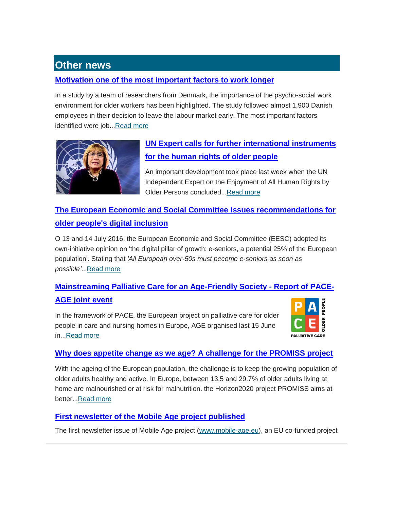## **Other news**

#### **[Motivation one of the most important factors to work longer](http://www.age-platform.eu/policy-work/news/motivation-one-most-important-factors-work-longer)**

In a study by a team of researchers from Denmark, the importance of the psycho-social work environment for older workers has been highlighted. The study followed almost 1,900 Danish employees in their decision to leave the labour market early. The most important factors identified were job..[.Read more](http://www.age-platform.eu/policy-work/news/motivation-one-most-important-factors-work-longer)



### **[UN Expert calls for further international instruments](http://www.age-platform.eu/policy-work/news/un-expert-calls-further-international-instruments-human-rights-older-people)  [for the human rights of older people](http://www.age-platform.eu/policy-work/news/un-expert-calls-further-international-instruments-human-rights-older-people)**

An important development took place last week when the UN Independent Expert on the Enjoyment of All Human Rights by Older Persons concluded..[.Read more](http://www.age-platform.eu/policy-work/news/un-expert-calls-further-international-instruments-human-rights-older-people)

### **[The European Economic and Social Committee issues recommendations for](http://www.age-platform.eu/policy-work/news/european-economic-and-social-committee-issues-recommendations-older-peoples-digital)  [older people's digital inclusion](http://www.age-platform.eu/policy-work/news/european-economic-and-social-committee-issues-recommendations-older-peoples-digital)**

O 13 and 14 July 2016, the European Economic and Social Committee (EESC) adopted its own-initiative opinion on 'the digital pillar of growth: e-seniors, a potential 25% of the European population'. Stating that *'All European over-50s must become e-seniors as soon as possible'*..[.Read more](http://www.age-platform.eu/policy-work/news/european-economic-and-social-committee-issues-recommendations-older-peoples-digital)

## **[Mainstreaming Palliative Care for an Age-Friendly Society -](http://www.age-platform.eu/policy-work/news/mainstreaming-palliative-care-age-friendly-society-report-pace-age-joint-event) Report of PACE-[AGE joint event](http://www.age-platform.eu/policy-work/news/mainstreaming-palliative-care-age-friendly-society-report-pace-age-joint-event)**

In the framework of PACE, the European project on palliative care for older people in care and nursing homes in Europe, AGE organised last 15 June in..[.Read more](http://www.age-platform.eu/policy-work/news/mainstreaming-palliative-care-age-friendly-society-report-pace-age-joint-event)



#### **[Why does appetite change as we age? A challenge for the PROMISS project](http://www.age-platform.eu/policy-work/news/why-does-appetite-change-we-age-challenge-promiss-project)**

With the ageing of the European population, the challenge is to keep the growing population of older adults healthy and active. In Europe, between 13.5 and 29.7% of older adults living at home are malnourished or at risk for malnutrition. the Horizon2020 project PROMISS aims at better..[.Read more](http://www.age-platform.eu/policy-work/news/why-does-appetite-change-we-age-challenge-promiss-project)

#### **[First newsletter of the Mobile Age project published](http://www.age-platform.eu/policy-work/news/first-newsletter-mobile-age-project-published)**

The first newsletter issue of Mobile Age project [\(www.mobile-age.eu\)](http://www.mobile-age.eu/), an EU co-funded project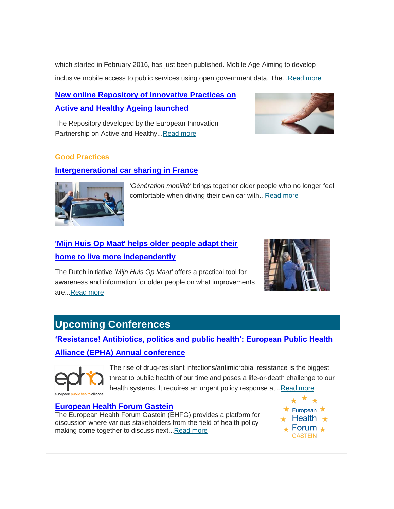which started in February 2016, has just been published. Mobile Age Aiming to develop inclusive mobile access to public services using open government data. The..[.Read more](http://www.age-platform.eu/policy-work/news/first-newsletter-mobile-age-project-published)

### **[New online Repository of Innovative Practices on](http://www.age-platform.eu/policy-work/news/new-online-repository-innovative-practices-active-and-healthy-ageing-launched)  [Active and Healthy Ageing launched](http://www.age-platform.eu/policy-work/news/new-online-repository-innovative-practices-active-and-healthy-ageing-launched)**

The Repository developed by the European Innovation Partnership on Active and Healthy..[.Read more](http://www.age-platform.eu/policy-work/news/new-online-repository-innovative-practices-active-and-healthy-ageing-launched)



#### **Good Practices**

#### **[Intergenerational car sharing in France](http://www.age-platform.eu/good-practice/intergenerational-car-sharing-france)**



*'Génération mobilité'* brings together older people who no longer feel comfortable when driving their own car with..[.Read more](http://www.age-platform.eu/good-practice/intergenerational-car-sharing-france)

## **['Mijn Huis Op Maat' helps older people adapt their](http://www.age-platform.eu/good-practice/mijn-huis-op-maat-helps-older-people-adapt-their-home-live-more-independently)  [home to live more independently](http://www.age-platform.eu/good-practice/mijn-huis-op-maat-helps-older-people-adapt-their-home-live-more-independently)**

The Dutch initiative *'Mijn Huis Op Maat'* offers a practical tool for awareness and information for older people on what improvements are..[.Read more](http://www.age-platform.eu/good-practice/mijn-huis-op-maat-helps-older-people-adapt-their-home-live-more-independently)



# **Upcoming Conferences**

**['Resistance! Antibiotics, politics and public health': European Public Health](http://www.age-platform.eu/event/%E2%80%98resistance-antibiotics-politics-and-public-health%E2%80%99-european-public-health-alliance-epha)  [Alliance \(EPHA\) Annual conference](http://www.age-platform.eu/event/%E2%80%98resistance-antibiotics-politics-and-public-health%E2%80%99-european-public-health-alliance-epha)**



The rise of drug-resistant infections/antimicrobial resistance is the biggest threat to public health of our time and poses a life-or-death challenge to our health systems. It requires an urgent policy response at..[.Read more](http://www.age-platform.eu/event/%E2%80%98resistance-antibiotics-politics-and-public-health%E2%80%99-european-public-health-alliance-epha)

#### **[European Health Forum Gastein](http://www.age-platform.eu/event/european-health-forum-gastein)**

The European Health Forum Gastein (EHFG) provides a platform for discussion where various stakeholders from the field of health policy making come together to discuss next... Read more

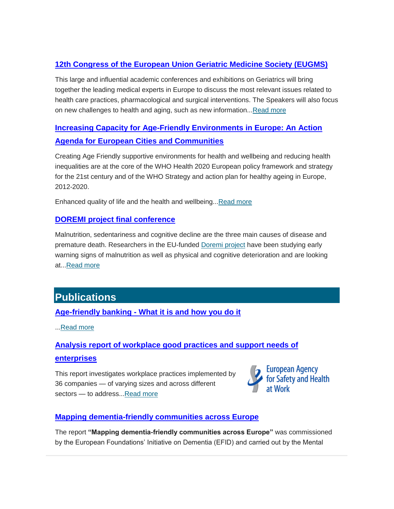#### **12th Congress of the European [Union Geriatric Medicine Society \(EUGMS\)](http://www.age-platform.eu/event/12th-congress-european-union-geriatric-medicine-society-eugms)**

This large and influential academic conferences and exhibitions on Geriatrics will bring together the leading medical experts in Europe to discuss the most relevant issues related to health care practices, pharmacological and surgical interventions. The Speakers will also focus on new challenges to health and aging, such as new information..[.Read more](http://www.age-platform.eu/event/12th-congress-european-union-geriatric-medicine-society-eugms)

### **[Increasing Capacity for Age-Friendly Environments in Europe: An Action](http://www.age-platform.eu/event/increasing-capacity-age-friendly-environments-europe-action-agenda-european-cities-and)  [Agenda for European Cities and Communities](http://www.age-platform.eu/event/increasing-capacity-age-friendly-environments-europe-action-agenda-european-cities-and)**

Creating Age Friendly supportive environments for health and wellbeing and reducing health inequalities are at the core of the WHO Health 2020 European policy framework and strategy for the 21st century and of the WHO Strategy and action plan for healthy ageing in Europe, 2012-2020.

Enhanced quality of life and the health and wellbeing... Read more

#### **[DOREMI project final conference](http://www.age-platform.eu/event/doremi-project-final-conference)**

Malnutrition, sedentariness and cognitive decline are the three main causes of disease and premature death. Researchers in the EU-funded [Doremi project](http://www.age-platform.eu/project/doremi) have been studying early warning signs of malnutrition as well as physical and cognitive deterioration and are looking at..[.Read more](http://www.age-platform.eu/event/doremi-project-final-conference)

# **Publications**

**Age-friendly banking - [What it is and how you do it](http://www.age-platform.eu/publications/age-friendly-banking-what-it-and-how-you-do-it)**

..[.Read more](http://www.age-platform.eu/publications/age-friendly-banking-what-it-and-how-you-do-it)

#### **[Analysis report of workplace good practices and support needs of](http://www.age-platform.eu/publications/analysis-report-workplace-good-practices-and-support-needs-enterprises)**

#### **[enterprises](http://www.age-platform.eu/publications/analysis-report-workplace-good-practices-and-support-needs-enterprises)**

This report investigates workplace practices implemented by 36 companies — of varying sizes and across different sectors - to address..[.Read more](http://www.age-platform.eu/publications/analysis-report-workplace-good-practices-and-support-needs-enterprises)



#### **[Mapping dementia-friendly communities across Europe](http://www.age-platform.eu/publications/mapping-dementia-friendly-communities-across-europe)**

The report **"Mapping dementia-friendly communities across Europe"** was commissioned by the European Foundations' Initiative on Dementia (EFID) and carried out by the Mental